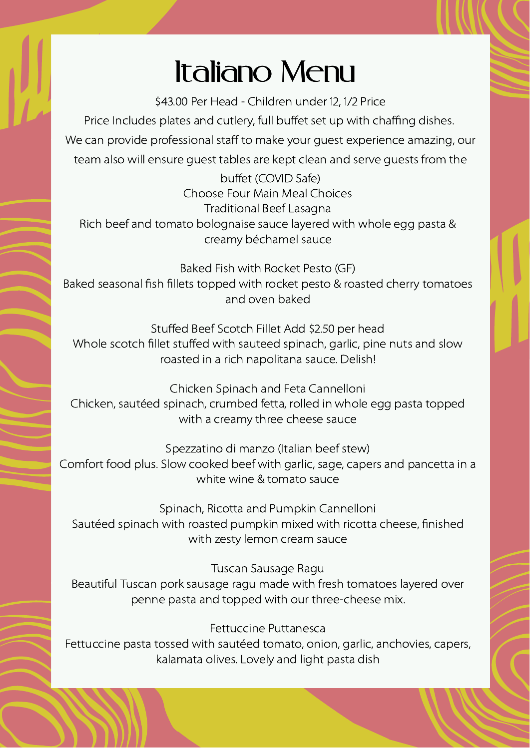## Italiano Menu

\$43.00 Per Head - Children under 12, 1/2 Price

Price Includes plates and cutlery, full buffet set up with chaffing dishes. We can provide professional staff to make your guest experience amazing, our team also will ensure guest tables are kept clean and serve guests from the

buffet (COVID Safe) Choose Four Main Meal Choices Traditional Beef Lasagna Rich beef and tomato bolognaise sauce layered with whole egg pasta & creamy béchamel sauce

Baked Fish with Rocket Pesto (GF) Baked seasonal fish fillets topped with rocket pesto & roasted cherry tomatoes and oven baked

Stuffed Beef Scotch Fillet Add \$2.50 per head Whole scotch fillet stuffed with sauteed spinach, garlic, pine nuts and slow roasted in a rich napolitana sauce. Delish!

Chicken Spinach and Feta Cannelloni Chicken, sautéed spinach, crumbed fetta, rolled in whole egg pasta topped with a creamy three cheese sauce

Spezzatino di manzo (Italian beef stew) Comfort food plus. Slow cooked beef with garlic, sage, capers and pancetta in a white wine & tomato sauce

Spinach, Ricotta and Pumpkin Cannelloni Sautéed spinach with roasted pumpkin mixed with ricotta cheese, finished with zesty lemon cream sauce

Tuscan Sausage Ragu Beautiful Tuscan pork sausage ragu made with fresh tomatoes layered over penne pasta and topped with our three-cheese mix.

Fettuccine Puttanesca

Fettuccine pasta tossed with sautéed tomato, onion, garlic, anchovies, capers, kalamata olives. Lovely and light pasta dish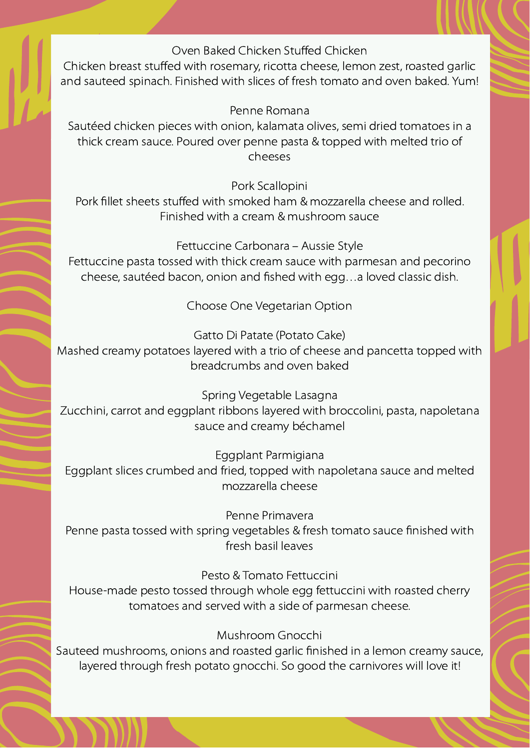## Oven Baked Chicken Stuffed Chicken

Chicken breast stuffed with rosemary, ricotta cheese, lemon zest, roasted garlic and sauteed spinach. Finished with slices of fresh tomato and oven baked. Yum!

Penne Romana

Sautéed chicken pieces with onion, kalamata olives, semi dried tomatoes in a thick cream sauce. Poured over penne pasta & topped with melted trio of cheeses

Pork Scallopini

Pork fillet sheets stuffed with smoked ham & mozzarella cheese and rolled. Finished with a cream & mushroom sauce

Fettuccine Carbonara – Aussie Style

Fettuccine pasta tossed with thick cream sauce with parmesan and pecorino cheese, sautéed bacon, onion and fished with egg…a loved classic dish.

Choose One Vegetarian Option

Gatto Di Patate (Potato Cake)

Mashed creamy potatoes layered with a trio of cheese and pancetta topped with breadcrumbs and oven baked

Spring Vegetable Lasagna

Zucchini, carrot and eggplant ribbons layered with broccolini, pasta, napoletana sauce and creamy béchamel

Eggplant Parmigiana

Eggplant slices crumbed and fried, topped with napoletana sauce and melted mozzarella cheese

Penne Primavera

Penne pasta tossed with spring vegetables & fresh tomato sauce finished with fresh basil leaves

Pesto & Tomato Fettuccini

House-made pesto tossed through whole egg fettuccini with roasted cherry tomatoes and served with a side of parmesan cheese.

Mushroom Gnocchi

Sauteed mushrooms, onions and roasted garlic finished in a lemon creamy sauce, layered through fresh potato gnocchi. So good the carnivores will love it!